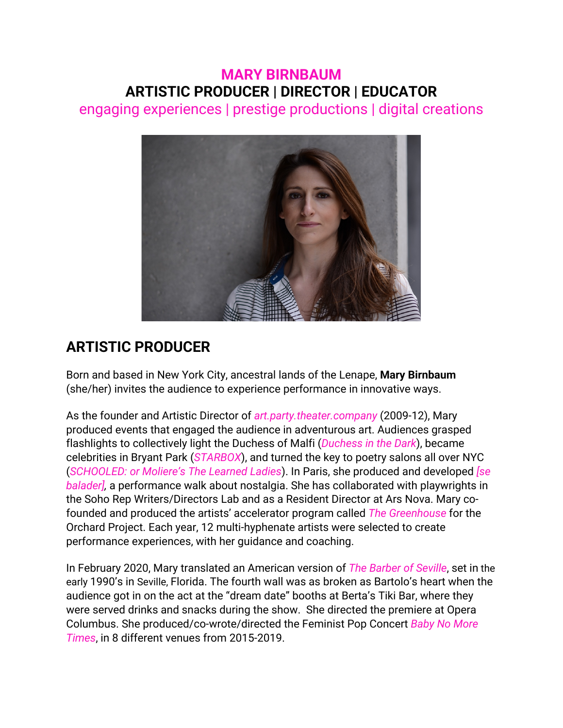## **MARY BIRNBAUM ARTISTIC PRODUCER | DIRECTOR | EDUCATOR**

engaging experiences | prestige productions | digital creations



## **ARTISTIC PRODUCER**

Born and based in New York City, ancestral lands of the Lenape, **Mary Birnbaum**  (she/her) invites the audience to experience performance in innovative ways.

As the founder and Artistic Director of *art.party.theater.company* (2009-12), Mary produced events that engaged the audience in adventurous art. Audiences grasped flashlights to collectively light the Duchess of Malfi (*Duchess in the Dark*), became celebrities in Bryant Park (*STARBOX*), and turned the key to poetry salons all over NYC (*SCHOOLED: or Moliere's The Learned Ladies*). In Paris, she produced and developed *[se balader],* a performance walk about nostalgia. She has collaborated with playwrights in the Soho Rep Writers/Directors Lab and as a Resident Director at Ars Nova. Mary cofounded and produced the artists' accelerator program called *The Greenhouse* for the Orchard Project. Each year, 12 multi-hyphenate artists were selected to create performance experiences, with her guidance and coaching.

In February 2020, Mary translated an American version of *The Barber of Seville*, set in the early 1990's in Seville, Florida. The fourth wall was as broken as Bartolo's heart when the audience got in on the act at the "dream date" booths at Berta's Tiki Bar, where they were served drinks and snacks during the show. She directed the premiere at Opera Columbus. She produced/co-wrote/directed the Feminist Pop Concert *Baby No More Times*, in 8 different venues from 2015-2019.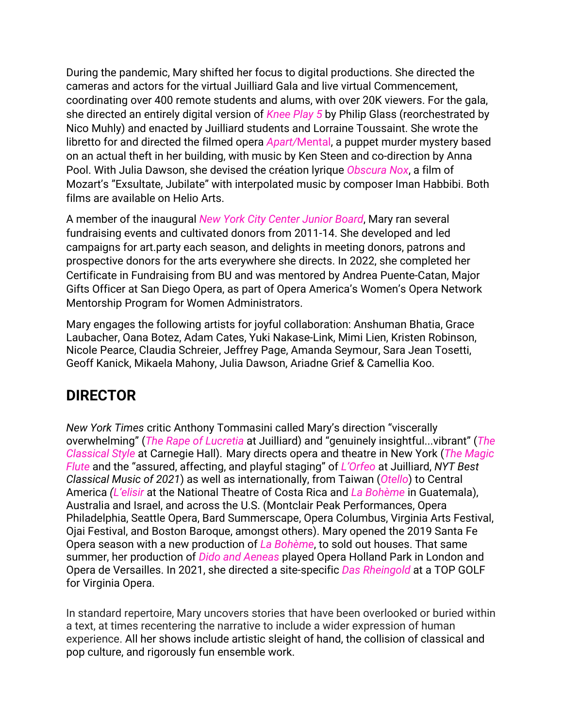During the pandemic, Mary shifted her focus to digital productions. She directed the cameras and actors for the virtual Juilliard Gala and live virtual Commencement, coordinating over 400 remote students and alums, with over 20K viewers. For the gala, she directed an entirely digital version of *Knee Play 5* by Philip Glass (reorchestrated by Nico Muhly) and enacted by Juilliard students and Lorraine Toussaint. She wrote the libretto for and directed the filmed opera *Apart/*Mental, a puppet murder mystery based on an actual theft in her building, with music by Ken Steen and co-direction by Anna Pool. With Julia Dawson, she devised the création lyrique *Obscura Nox*, a film of Mozart's "Exsultate, Jubilate" with interpolated music by composer Iman Habbibi. Both films are available on Helio Arts.

A member of the inaugural *New York City Center Junior Board*, Mary ran several fundraising events and cultivated donors from 2011-14. She developed and led campaigns for art.party each season, and delights in meeting donors, patrons and prospective donors for the arts everywhere she directs. In 2022, she completed her Certificate in Fundraising from BU and was mentored by Andrea Puente-Catan, Major Gifts Officer at San Diego Opera, as part of Opera America's Women's Opera Network Mentorship Program for Women Administrators.

Mary engages the following artists for joyful collaboration: Anshuman Bhatia, Grace Laubacher, Oana Botez, Adam Cates, Yuki Nakase-Link, Mimi Lien, Kristen Robinson, Nicole Pearce, Claudia Schreier, Jeffrey Page, Amanda Seymour, Sara Jean Tosetti, Geoff Kanick, Mikaela Mahony, Julia Dawson, Ariadne Grief & Camellia Koo.

## **DIRECTOR**

*New York Times* critic Anthony Tommasini called Mary's direction "viscerally overwhelming" (*The Rape of Lucretia* at Juilliard) and "genuinely insightful...vibrant" (*The Classical Style* at Carnegie Hall). Mary directs opera and theatre in New York (*The Magic Flute* and the "assured, affecting, and playful staging" of *L'Orfeo* at Juilliard, *NYT Best Classical Music of 2021*) as well as internationally, from Taiwan (*Otello*) to Central America *(L'elisir* at the National Theatre of Costa Rica and *La Bohème* in Guatemala), Australia and Israel, and across the U.S. (Montclair Peak Performances, Opera Philadelphia, Seattle Opera, Bard Summerscape, Opera Columbus, Virginia Arts Festival, Ojai Festival, and Boston Baroque, amongst others). Mary opened the 2019 Santa Fe Opera season with a new production of *La Bohème*, to sold out houses. That same summer, her production of *Dido and Aeneas* played Opera Holland Park in London and Opera de Versailles. In 2021, she directed a site-specific *Das Rheingold* at a TOP GOLF for Virginia Opera.

In standard repertoire, Mary uncovers stories that have been overlooked or buried within a text, at times recentering the narrative to include a wider expression of human experience. All her shows include artistic sleight of hand, the collision of classical and pop culture, and rigorously fun ensemble work.